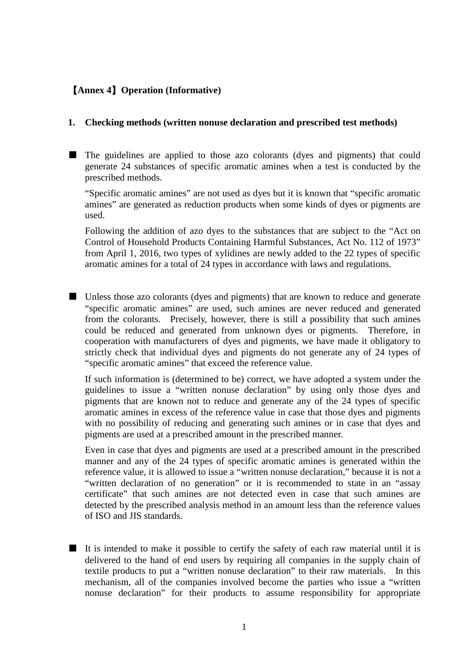## 【**Annex 4**】**Operation (Informative)**

## **1. Checking methods (written nonuse declaration and prescribed test methods)**

■ The guidelines are applied to those azo colorants (dyes and pigments) that could generate 24 substances of specific aromatic amines when a test is conducted by the prescribed methods.

"Specific aromatic amines" are not used as dyes but it is known that "specific aromatic amines" are generated as reduction products when some kinds of dyes or pigments are used.

Following the addition of azo dyes to the substances that are subject to the "Act on Control of Household Products Containing Harmful Substances, Act No. 112 of 1973" from April 1, 2016, two types of xylidines are newly added to the 22 types of specific aromatic amines for a total of 24 types in accordance with laws and regulations.

■ Unless those azo colorants (dyes and pigments) that are known to reduce and generate "specific aromatic amines" are used, such amines are never reduced and generated from the colorants. Precisely, however, there is still a possibility that such amines could be reduced and generated from unknown dyes or pigments. Therefore, in cooperation with manufacturers of dyes and pigments, we have made it obligatory to strictly check that individual dyes and pigments do not generate any of 24 types of "specific aromatic amines" that exceed the reference value.

If such information is (determined to be) correct, we have adopted a system under the guidelines to issue a "written nonuse declaration" by using only those dyes and pigments that are known not to reduce and generate any of the 24 types of specific aromatic amines in excess of the reference value in case that those dyes and pigments with no possibility of reducing and generating such amines or in case that dyes and pigments are used at a prescribed amount in the prescribed manner.

Even in case that dyes and pigments are used at a prescribed amount in the prescribed manner and any of the 24 types of specific aromatic amines is generated within the reference value, it is allowed to issue a "written nonuse declaration," because it is not a "written declaration of no generation" or it is recommended to state in an "assay certificate" that such amines are not detected even in case that such amines are detected by the prescribed analysis method in an amount less than the reference values of ISO and JIS standards.

■ It is intended to make it possible to certify the safety of each raw material until it is delivered to the hand of end users by requiring all companies in the supply chain of textile products to put a "written nonuse declaration" to their raw materials. In this mechanism, all of the companies involved become the parties who issue a "written nonuse declaration" for their products to assume responsibility for appropriate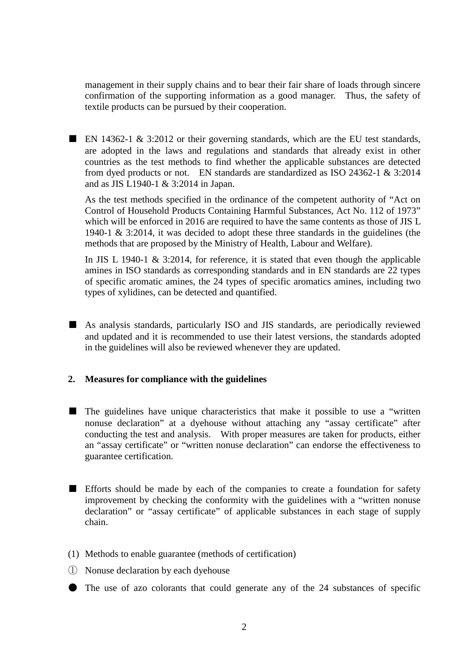management in their supply chains and to bear their fair share of loads through sincere confirmation of the supporting information as a good manager. Thus, the safety of textile products can be pursued by their cooperation.

■ EN 14362-1 & 3:2012 or their governing standards, which are the EU test standards, are adopted in the laws and regulations and standards that already exist in other countries as the test methods to find whether the applicable substances are detected from dyed products or not. EN standards are standardized as ISO 24362-1 & 3:2014 and as JIS L1940-1 & 3:2014 in Japan.

As the test methods specified in the ordinance of the competent authority of "Act on Control of Household Products Containing Harmful Substances, Act No. 112 of 1973" which will be enforced in 2016 are required to have the same contents as those of JIS L 1940-1 & 3:2014, it was decided to adopt these three standards in the guidelines (the methods that are proposed by the Ministry of Health, Labour and Welfare).

In JIS L 1940-1  $\&$  3:2014, for reference, it is stated that even though the applicable amines in ISO standards as corresponding standards and in EN standards are 22 types of specific aromatic amines, the 24 types of specific aromatics amines, including two types of xylidines, can be detected and quantified.

■ As analysis standards, particularly ISO and JIS standards, are periodically reviewed and updated and it is recommended to use their latest versions, the standards adopted in the guidelines will also be reviewed whenever they are updated.

## **2. Measures for compliance with the guidelines**

- The guidelines have unique characteristics that make it possible to use a "written" nonuse declaration" at a dyehouse without attaching any "assay certificate" after conducting the test and analysis. With proper measures are taken for products, either an "assay certificate" or "written nonuse declaration" can endorse the effectiveness to guarantee certification.
- Efforts should be made by each of the companies to create a foundation for safety improvement by checking the conformity with the guidelines with a "written nonuse declaration" or "assay certificate" of applicable substances in each stage of supply chain.
- (1) Methods to enable guarantee (methods of certification)
- ① Nonuse declaration by each dyehouse
- The use of azo colorants that could generate any of the 24 substances of specific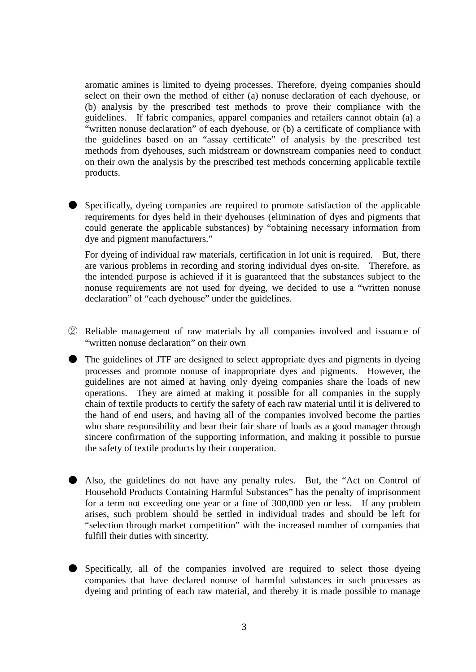aromatic amines is limited to dyeing processes. Therefore, dyeing companies should select on their own the method of either (a) nonuse declaration of each dyehouse, or (b) analysis by the prescribed test methods to prove their compliance with the guidelines. If fabric companies, apparel companies and retailers cannot obtain (a) a "written nonuse declaration" of each dyehouse, or (b) a certificate of compliance with the guidelines based on an "assay certificate" of analysis by the prescribed test methods from dyehouses, such midstream or downstream companies need to conduct on their own the analysis by the prescribed test methods concerning applicable textile products.

● Specifically, dyeing companies are required to promote satisfaction of the applicable requirements for dyes held in their dyehouses (elimination of dyes and pigments that could generate the applicable substances) by "obtaining necessary information from dye and pigment manufacturers."

For dyeing of individual raw materials, certification in lot unit is required. But, there are various problems in recording and storing individual dyes on-site. Therefore, as the intended purpose is achieved if it is guaranteed that the substances subject to the nonuse requirements are not used for dyeing, we decided to use a "written nonuse declaration" of "each dyehouse" under the guidelines.

- ② Reliable management of raw materials by all companies involved and issuance of "written nonuse declaration" on their own
- The guidelines of JTF are designed to select appropriate dyes and pigments in dyeing processes and promote nonuse of inappropriate dyes and pigments. However, the guidelines are not aimed at having only dyeing companies share the loads of new operations. They are aimed at making it possible for all companies in the supply chain of textile products to certify the safety of each raw material until it is delivered to the hand of end users, and having all of the companies involved become the parties who share responsibility and bear their fair share of loads as a good manager through sincere confirmation of the supporting information, and making it possible to pursue the safety of textile products by their cooperation.
- Also, the guidelines do not have any penalty rules. But, the "Act on Control of Household Products Containing Harmful Substances" has the penalty of imprisonment for a term not exceeding one year or a fine of 300,000 yen or less. If any problem arises, such problem should be settled in individual trades and should be left for "selection through market competition" with the increased number of companies that fulfill their duties with sincerity.
- Specifically, all of the companies involved are required to select those dyeing companies that have declared nonuse of harmful substances in such processes as dyeing and printing of each raw material, and thereby it is made possible to manage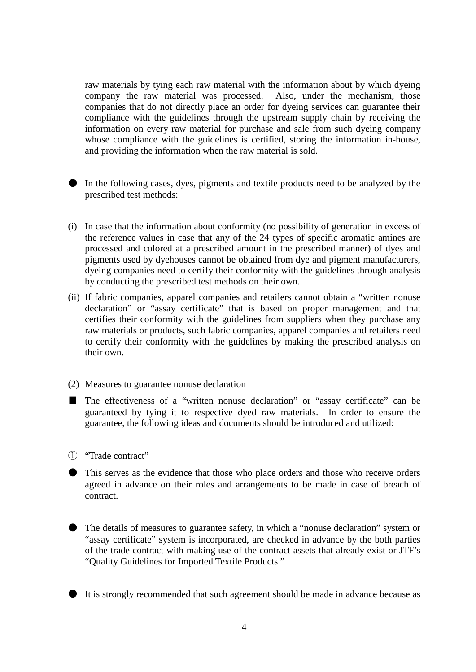raw materials by tying each raw material with the information about by which dyeing company the raw material was processed. Also, under the mechanism, those companies that do not directly place an order for dyeing services can guarantee their compliance with the guidelines through the upstream supply chain by receiving the information on every raw material for purchase and sale from such dyeing company whose compliance with the guidelines is certified, storing the information in-house, and providing the information when the raw material is sold.



In the following cases, dyes, pigments and textile products need to be analyzed by the prescribed test methods:

- (i) In case that the information about conformity (no possibility of generation in excess of the reference values in case that any of the 24 types of specific aromatic amines are processed and colored at a prescribed amount in the prescribed manner) of dyes and pigments used by dyehouses cannot be obtained from dye and pigment manufacturers, dyeing companies need to certify their conformity with the guidelines through analysis by conducting the prescribed test methods on their own.
- (ii) If fabric companies, apparel companies and retailers cannot obtain a "written nonuse declaration" or "assay certificate" that is based on proper management and that certifies their conformity with the guidelines from suppliers when they purchase any raw materials or products, such fabric companies, apparel companies and retailers need to certify their conformity with the guidelines by making the prescribed analysis on their own.
- (2) Measures to guarantee nonuse declaration
- The effectiveness of a "written nonuse declaration" or "assay certificate" can be guaranteed by tying it to respective dyed raw materials. In order to ensure the guarantee, the following ideas and documents should be introduced and utilized:
- ① "Trade contract"
- This serves as the evidence that those who place orders and those who receive orders agreed in advance on their roles and arrangements to be made in case of breach of contract.
- The details of measures to guarantee safety, in which a "nonuse declaration" system or "assay certificate" system is incorporated, are checked in advance by the both parties of the trade contract with making use of the contract assets that already exist or JTF's "Quality Guidelines for Imported Textile Products."
- It is strongly recommended that such agreement should be made in advance because as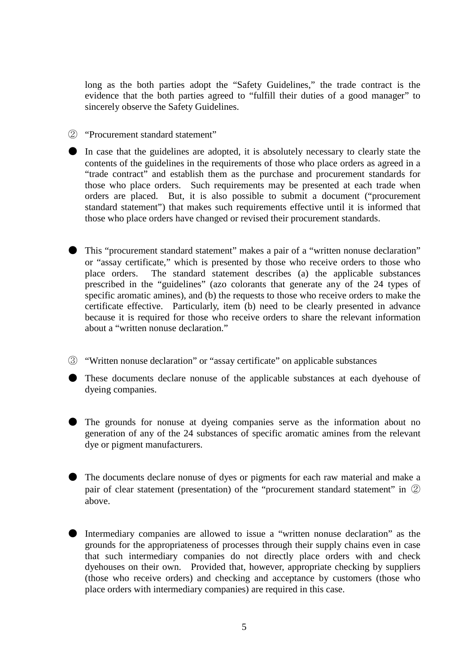long as the both parties adopt the "Safety Guidelines," the trade contract is the evidence that the both parties agreed to "fulfill their duties of a good manager" to sincerely observe the Safety Guidelines.

② "Procurement standard statement"

● In case that the guidelines are adopted, it is absolutely necessary to clearly state the contents of the guidelines in the requirements of those who place orders as agreed in a "trade contract" and establish them as the purchase and procurement standards for those who place orders. Such requirements may be presented at each trade when orders are placed. But, it is also possible to submit a document ("procurement standard statement") that makes such requirements effective until it is informed that those who place orders have changed or revised their procurement standards.

This "procurement standard statement" makes a pair of a "written nonuse declaration" or "assay certificate," which is presented by those who receive orders to those who place orders. The standard statement describes (a) the applicable substances prescribed in the "guidelines" (azo colorants that generate any of the 24 types of specific aromatic amines), and (b) the requests to those who receive orders to make the certificate effective. Particularly, item (b) need to be clearly presented in advance because it is required for those who receive orders to share the relevant information about a "written nonuse declaration."

③ "Written nonuse declaration" or "assay certificate" on applicable substances

● These documents declare nonuse of the applicable substances at each dyehouse of dyeing companies.

● The grounds for nonuse at dyeing companies serve as the information about no generation of any of the 24 substances of specific aromatic amines from the relevant dye or pigment manufacturers.

● The documents declare nonuse of dyes or pigments for each raw material and make a pair of clear statement (presentation) of the "procurement standard statement" in ② above.

Intermediary companies are allowed to issue a "written nonuse declaration" as the grounds for the appropriateness of processes through their supply chains even in case that such intermediary companies do not directly place orders with and check dyehouses on their own. Provided that, however, appropriate checking by suppliers (those who receive orders) and checking and acceptance by customers (those who place orders with intermediary companies) are required in this case.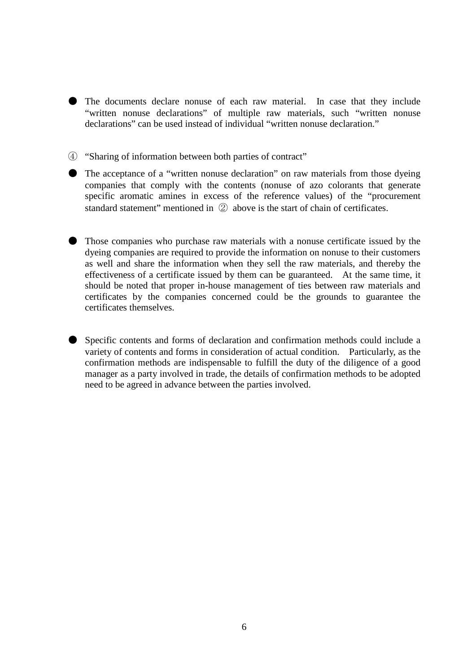If the documents declare nonuse of each raw material. In case that they include "written nonuse declarations" of multiple raw materials, such "written nonuse declarations" can be used instead of individual "written nonuse declaration."

④ "Sharing of information between both parties of contract"

- The acceptance of a "written nonuse declaration" on raw materials from those dyeing companies that comply with the contents (nonuse of azo colorants that generate specific aromatic amines in excess of the reference values) of the "procurement standard statement" mentioned in ② above is the start of chain of certificates.
- Those companies who purchase raw materials with a nonuse certificate issued by the dyeing companies are required to provide the information on nonuse to their customers as well and share the information when they sell the raw materials, and thereby the effectiveness of a certificate issued by them can be guaranteed. At the same time, it should be noted that proper in-house management of ties between raw materials and certificates by the companies concerned could be the grounds to guarantee the certificates themselves.
- Specific contents and forms of declaration and confirmation methods could include a variety of contents and forms in consideration of actual condition. Particularly, as the confirmation methods are indispensable to fulfill the duty of the diligence of a good manager as a party involved in trade, the details of confirmation methods to be adopted need to be agreed in advance between the parties involved.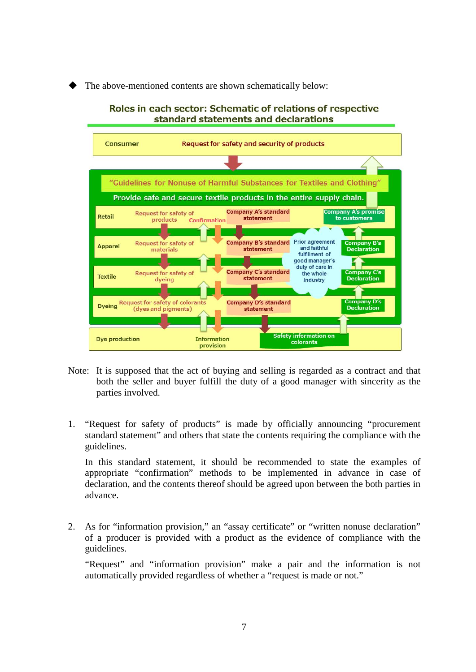The above-mentioned contents are shown schematically below:



- Note: It is supposed that the act of buying and selling is regarded as a contract and that both the seller and buyer fulfill the duty of a good manager with sincerity as the parties involved.
- 1. "Request for safety of products" is made by officially announcing "procurement standard statement" and others that state the contents requiring the compliance with the guidelines.

In this standard statement, it should be recommended to state the examples of appropriate "confirmation" methods to be implemented in advance in case of declaration, and the contents thereof should be agreed upon between the both parties in advance.

2. As for "information provision," an "assay certificate" or "written nonuse declaration" of a producer is provided with a product as the evidence of compliance with the guidelines.

"Request" and "information provision" make a pair and the information is not automatically provided regardless of whether a "request is made or not."